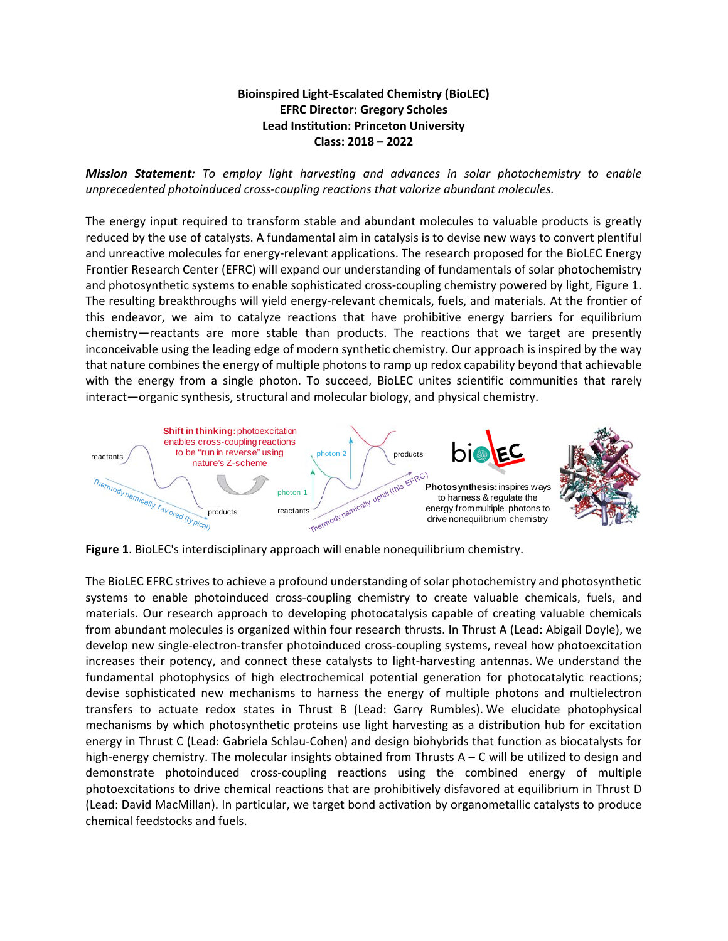## **Bioinspired Light-Escalated Chemistry (BioLEC) EFRC Director: Gregory Scholes Lead Institution: Princeton University Class: 2018 – 2022**

*Mission Statement: To employ light harvesting and advances in solar photochemistry to enable unprecedented photoinduced cross-coupling reactions that valorize abundant molecules.*

The energy input required to transform stable and abundant molecules to valuable products is greatly reduced by the use of catalysts. A fundamental aim in catalysis is to devise new ways to convert plentiful and unreactive molecules for energy-relevant applications. The research proposed for the BioLEC Energy Frontier Research Center (EFRC) will expand our understanding of fundamentals of solar photochemistry and photosynthetic systems to enable sophisticated cross-coupling chemistry powered by light, Figure 1. The resulting breakthroughs will yield energy-relevant chemicals, fuels, and materials. At the frontier of this endeavor, we aim to catalyze reactions that have prohibitive energy barriers for equilibrium chemistry—reactants are more stable than products. The reactions that we target are presently inconceivable using the leading edge of modern synthetic chemistry. Our approach is inspired by the way that nature combines the energy of multiple photons to ramp up redox capability beyond that achievable with the energy from a single photon. To succeed, BioLEC unites scientific communities that rarely interact—organic synthesis, structural and molecular biology, and physical chemistry.



**Figure 1**. BioLEC's interdisciplinary approach will enable nonequilibrium chemistry.

The BioLEC EFRC strives to achieve a profound understanding of solar photochemistry and photosynthetic systems to enable photoinduced cross-coupling chemistry to create valuable chemicals, fuels, and materials. Our research approach to developing photocatalysis capable of creating valuable chemicals from abundant molecules is organized within four research thrusts. In Thrust A (Lead: Abigail Doyle), we develop new single-electron-transfer photoinduced cross-coupling systems, reveal how photoexcitation increases their potency, and connect these catalysts to light-harvesting antennas. We understand the fundamental photophysics of high electrochemical potential generation for photocatalytic reactions; devise sophisticated new mechanisms to harness the energy of multiple photons and multielectron transfers to actuate redox states in Thrust B (Lead: Garry Rumbles). We elucidate photophysical mechanisms by which photosynthetic proteins use light harvesting as a distribution hub for excitation energy in Thrust C (Lead: Gabriela Schlau-Cohen) and design biohybrids that function as biocatalysts for high-energy chemistry. The molecular insights obtained from Thrusts A – C will be utilized to design and demonstrate photoinduced cross-coupling reactions using the combined energy of multiple photoexcitations to drive chemical reactions that are prohibitively disfavored at equilibrium in Thrust D (Lead: David MacMillan). In particular, we target bond activation by organometallic catalysts to produce chemical feedstocks and fuels.